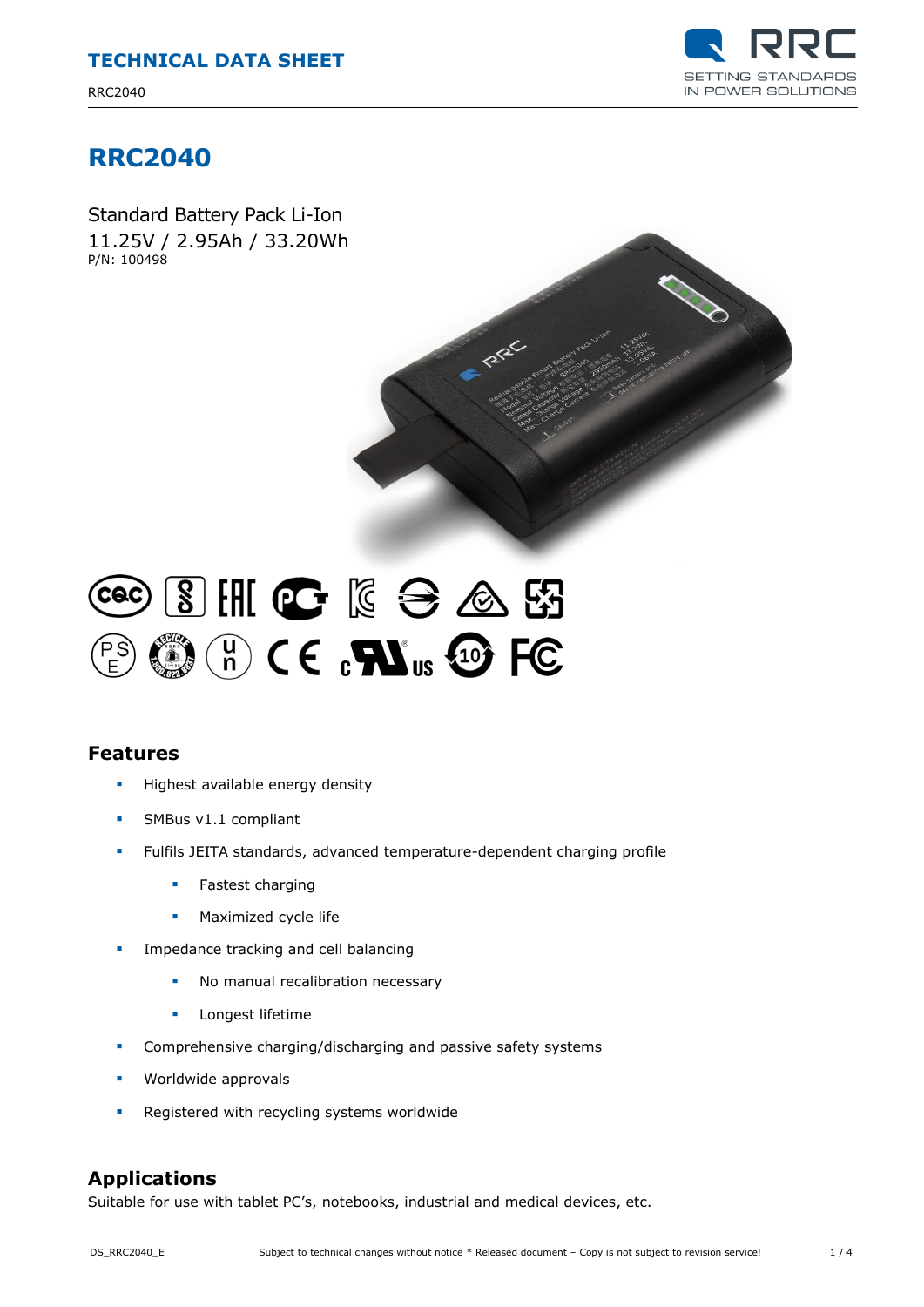RRC2040



## **RRC2040**

Standard Battery Pack Li-Ion 11.25V / 2.95Ah / 33.20Wh P/N: 100498



# $3H$   $6$   $6$   $6$   $6$   $8$  $(\begin{smallmatrix} u \\ n \end{smallmatrix})$  (  $\in$   $\mathbf{R}$   $\mathbf{W}_{us}$  +  $\mathbf{W}_{cs}$  FC

### **Features**

- **Highest available energy density**
- SMBus v1.1 compliant
- Fulfils JEITA standards, advanced temperature-dependent charging profile
	- **Fastest charging**
	- **Maximized cycle life**
- Impedance tracking and cell balancing
	- No manual recalibration necessary
	- **Longest lifetime**
- **•** Comprehensive charging/discharging and passive safety systems
- **Worldwide approvals**
- Registered with recycling systems worldwide

#### **Applications**

Suitable for use with tablet PC's, notebooks, industrial and medical devices, etc.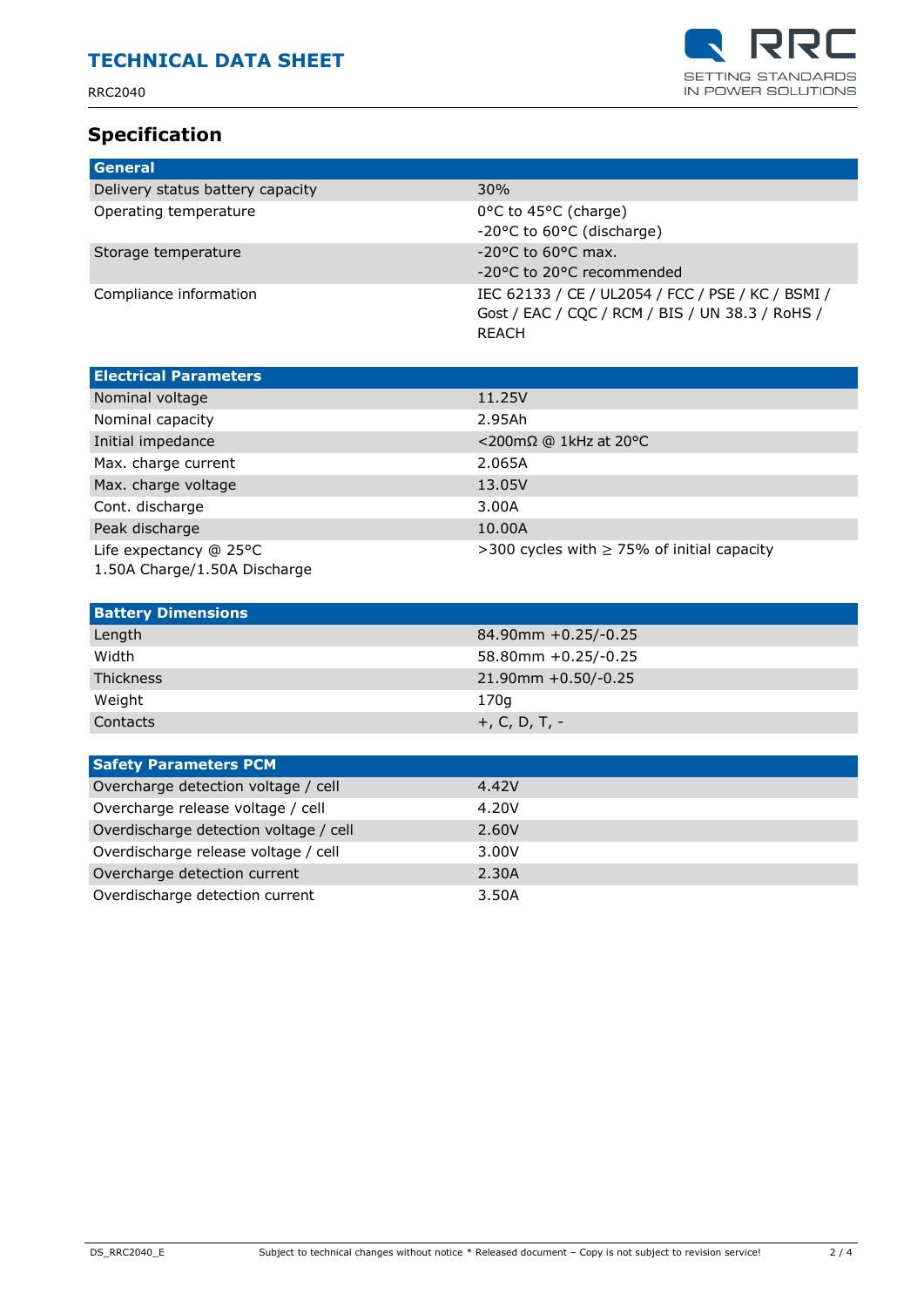RRC2040

### **Specification**



| General                          |                                                                                                                      |
|----------------------------------|----------------------------------------------------------------------------------------------------------------------|
| Delivery status battery capacity | 30%                                                                                                                  |
| Operating temperature            | 0°C to 45°C (charge)<br>-20°C to 60°C (discharge)                                                                    |
| Storage temperature              | $-20$ °C to 60°C max.<br>-20°C to 20°C recommended                                                                   |
| Compliance information           | IEC 62133 / CE / UL2054 / FCC / PSE / KC / BSMI /<br>Gost / EAC / CQC / RCM / BIS / UN 38.3 / RoHS /<br><b>REACH</b> |

| <b>Electrical Parameters</b>                           |                                                 |
|--------------------------------------------------------|-------------------------------------------------|
| Nominal voltage                                        | 11.25V                                          |
| Nominal capacity                                       | 2.95Ah                                          |
| Initial impedance                                      | $<$ 200mΩ @ 1kHz at 20°C                        |
| Max. charge current                                    | 2.065A                                          |
| Max. charge voltage                                    | 13.05V                                          |
| Cont. discharge                                        | 3.00A                                           |
| Peak discharge                                         | 10.00A                                          |
| Life expectancy @ 25°C<br>1.50A Charge/1.50A Discharge | >300 cycles with $\geq$ 75% of initial capacity |

| <b>Battery Dimensions</b> |                          |
|---------------------------|--------------------------|
| Length                    | 84.90mm +0.25/-0.25      |
| Width                     | $58.80$ mm $+0.25/-0.25$ |
| <b>Thickness</b>          | $21.90$ mm +0.50/-0.25   |
| Weight                    | 170q                     |
| Contacts                  | +, C, D, T, -            |

| <b>Safety Parameters PCM</b>           |       |  |
|----------------------------------------|-------|--|
| Overcharge detection voltage / cell    | 4.42V |  |
| Overcharge release voltage / cell      | 4.20V |  |
| Overdischarge detection voltage / cell | 2.60V |  |
| Overdischarge release voltage / cell   | 3.00V |  |
| Overcharge detection current           | 2.30A |  |
| Overdischarge detection current        | 3.50A |  |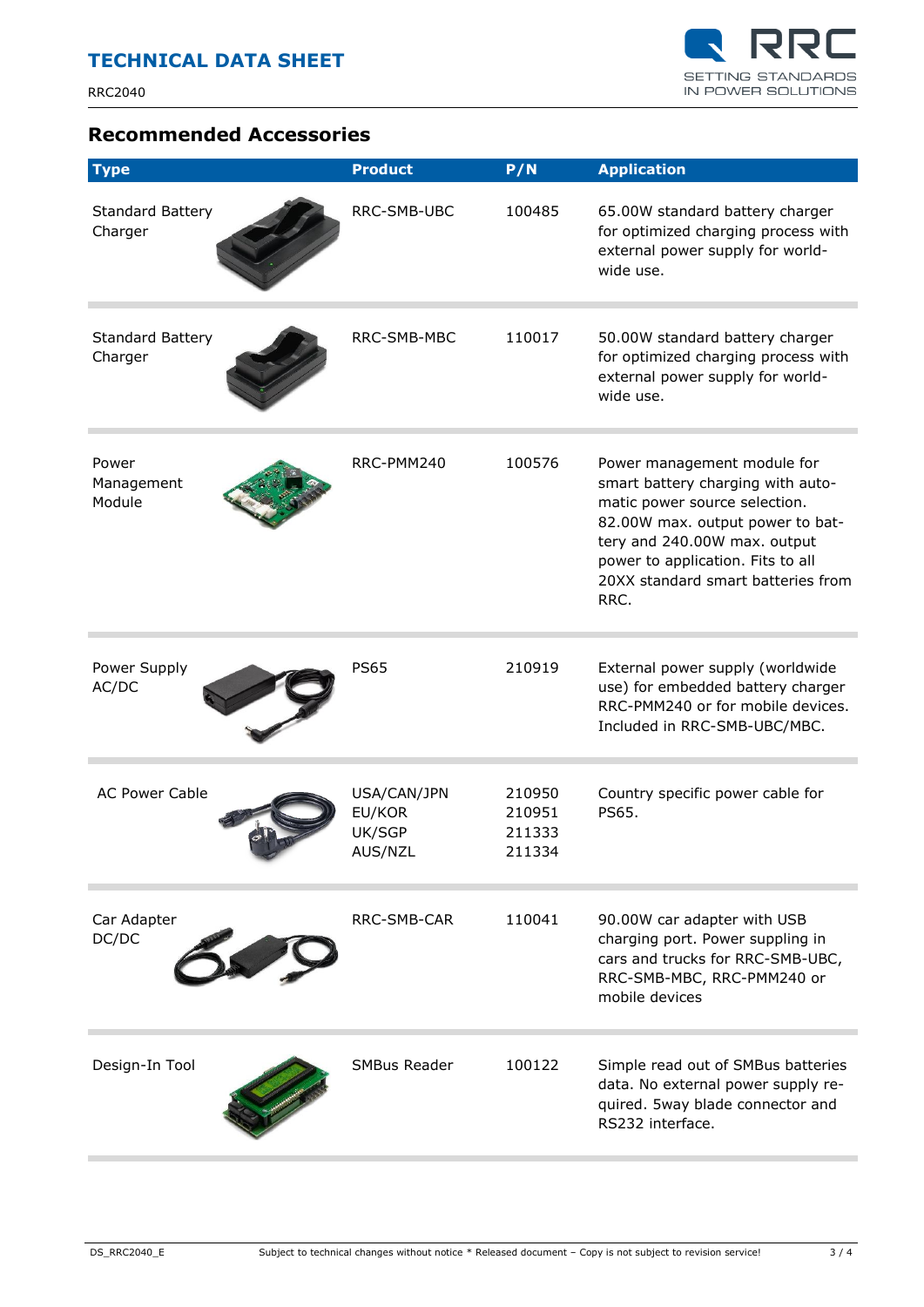

#### **Recommended Accessories**

| <b>Type</b>                        | <b>Product</b>                             | P/N                                  | <b>Application</b>                                                                                                                                                                                                                                       |
|------------------------------------|--------------------------------------------|--------------------------------------|----------------------------------------------------------------------------------------------------------------------------------------------------------------------------------------------------------------------------------------------------------|
| <b>Standard Battery</b><br>Charger | RRC-SMB-UBC                                | 100485                               | 65.00W standard battery charger<br>for optimized charging process with<br>external power supply for world-<br>wide use.                                                                                                                                  |
| <b>Standard Battery</b><br>Charger | RRC-SMB-MBC                                | 110017                               | 50.00W standard battery charger<br>for optimized charging process with<br>external power supply for world-<br>wide use.                                                                                                                                  |
| Power<br>Management<br>Module      | RRC-PMM240                                 | 100576                               | Power management module for<br>smart battery charging with auto-<br>matic power source selection.<br>82.00W max. output power to bat-<br>tery and 240.00W max. output<br>power to application. Fits to all<br>20XX standard smart batteries from<br>RRC. |
| Power Supply<br>AC/DC              | <b>PS65</b>                                | 210919                               | External power supply (worldwide<br>use) for embedded battery charger<br>RRC-PMM240 or for mobile devices.<br>Included in RRC-SMB-UBC/MBC.                                                                                                               |
| <b>AC Power Cable</b>              | USA/CAN/JPN<br>EU/KOR<br>UK/SGP<br>AUS/NZL | 210950<br>210951<br>211333<br>211334 | Country specific power cable for<br>PS65.                                                                                                                                                                                                                |
| Car Adapter<br>DC/DC               | RRC-SMB-CAR                                | 110041                               | 90.00W car adapter with USB<br>charging port. Power suppling in<br>cars and trucks for RRC-SMB-UBC,<br>RRC-SMB-MBC, RRC-PMM240 or<br>mobile devices                                                                                                      |
| Design-In Tool                     | <b>SMBus Reader</b>                        | 100122                               | Simple read out of SMBus batteries<br>data. No external power supply re-<br>quired. 5way blade connector and<br>RS232 interface.                                                                                                                         |